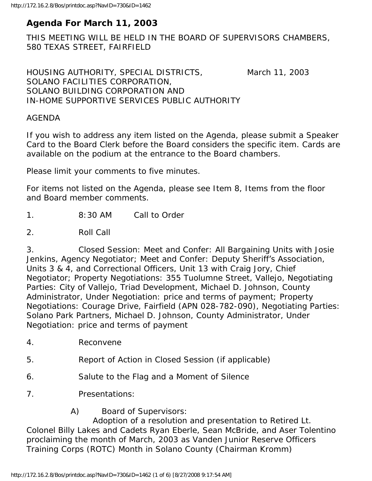# **Agenda For March 11, 2003**

THIS MEETING WILL BE HELD IN THE BOARD OF SUPERVISORS CHAMBERS, 580 TEXAS STREET, FAIRFIELD

HOUSING AUTHORITY, SPECIAL DISTRICTS, March 11, 2003 SOLANO FACILITIES CORPORATION, SOLANO BUILDING CORPORATION AND IN-HOME SUPPORTIVE SERVICES PUBLIC AUTHORITY

## AGENDA

If you wish to address any item listed on the Agenda, please submit a Speaker Card to the Board Clerk before the Board considers the specific item. Cards are available on the podium at the entrance to the Board chambers.

Please limit your comments to five minutes.

For items not listed on the Agenda, please see Item 8, Items from the floor and Board member comments.

1. 8:30 AM Call to Order

2. Roll Call

3. Closed Session: Meet and Confer: All Bargaining Units with Josie Jenkins, Agency Negotiator; Meet and Confer: Deputy Sheriff's Association, Units 3 & 4, and Correctional Officers, Unit 13 with Craig Jory, Chief Negotiator; Property Negotiations: 355 Tuolumne Street, Vallejo, Negotiating Parties: City of Vallejo, Triad Development, Michael D. Johnson, County Administrator, Under Negotiation: price and terms of payment; Property Negotiations: Courage Drive, Fairfield (APN 028-782-090), Negotiating Parties: Solano Park Partners, Michael D. Johnson, County Administrator, Under Negotiation: price and terms of payment

- 4. Reconvene
- 5. Report of Action in Closed Session (if applicable)
- 6. Salute to the Flag and a Moment of Silence
- 7. Presentations:

A) Board of Supervisors:

 Adoption of a resolution and presentation to Retired Lt. Colonel Billy Lakes and Cadets Ryan Eberle, Sean McBride, and Aser Tolentino proclaiming the month of March, 2003 as Vanden Junior Reserve Officers Training Corps (ROTC) Month in Solano County (Chairman Kromm)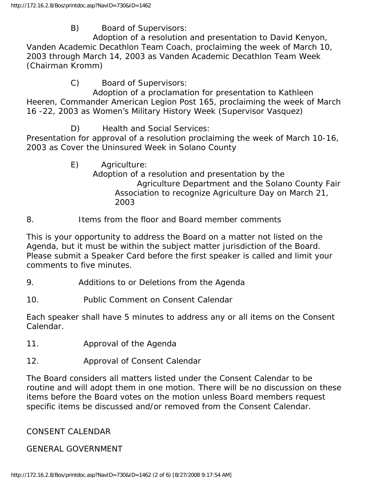B) Board of Supervisors:

 Adoption of a resolution and presentation to David Kenyon, Vanden Academic Decathlon Team Coach, proclaiming the week of March 10, 2003 through March 14, 2003 as Vanden Academic Decathlon Team Week (Chairman Kromm)

C) Board of Supervisors:

 Adoption of a proclamation for presentation to Kathleen Heeren, Commander American Legion Post 165, proclaiming the week of March 16 -22, 2003 as Women's Military History Week (Supervisor Vasquez)

D) Health and Social Services:

Presentation for approval of a resolution proclaiming the week of March 10-16, 2003 as Cover the Uninsured Week in Solano County

- E) Agriculture: Adoption of a resolution and presentation by the Agriculture Department and the Solano County Fair Association to recognize Agriculture Day on March 21, 2003
- 8. Items from the floor and Board member comments

This is your opportunity to address the Board on a matter not listed on the Agenda, but it must be within the subject matter jurisdiction of the Board. Please submit a Speaker Card before the first speaker is called and limit your comments to five minutes.

- 9. Additions to or Deletions from the Agenda
- 10. Public Comment on Consent Calendar

Each speaker shall have 5 minutes to address any or all items on the Consent Calendar.

- 11. Approval of the Agenda
- 12. Approval of Consent Calendar

The Board considers all matters listed under the Consent Calendar to be routine and will adopt them in one motion. There will be no discussion on these items before the Board votes on the motion unless Board members request specific items be discussed and/or removed from the Consent Calendar.

CONSENT CALENDAR

GENERAL GOVERNMENT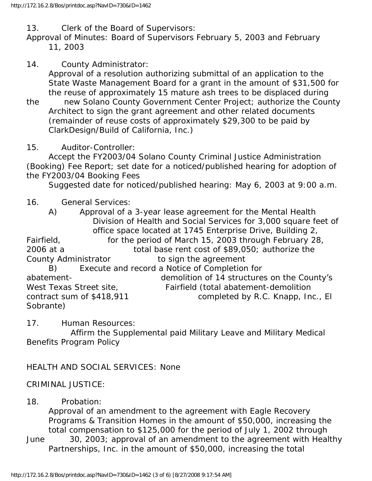13. Clerk of the Board of Supervisors:

Approval of Minutes: Board of Supervisors February 5, 2003 and February 11, 2003

- 14. County Administrator: Approval of a resolution authorizing submittal of an application to the State Waste Management Board for a grant in the amount of \$31,500 for the reuse of approximately 15 mature ash trees to be displaced during
- the new Solano County Government Center Project; authorize the County Architect to sign the grant agreement and other related documents (remainder of reuse costs of approximately \$29,300 to be paid by ClarkDesign/Build of California, Inc.)
- 15. Auditor-Controller:

 Accept the FY2003/04 Solano County Criminal Justice Administration (Booking) Fee Report; set date for a noticed/published hearing for adoption of the FY2003/04 Booking Fees

Suggested date for noticed/published hearing: May 6, 2003 at 9:00 a.m.

## 16. General Services:

 A) Approval of a 3-year lease agreement for the Mental Health Division of Health and Social Services for 3,000 square feet of office space located at 1745 Enterprise Drive, Building 2, Fairfield, for the period of March 15, 2003 through February 28, 2006 at a total base rent cost of \$89,050; authorize the County Administrator to sign the agreement B) Execute and record a Notice of Completion for abatement- demolition of 14 structures on the County's West Texas Street site, Fairfield (total abatement-demolition contract sum of \$418,911 completed by R.C. Knapp, Inc., El Sobrante)

17. Human Resources:

 Affirm the Supplemental paid Military Leave and Military Medical Benefits Program Policy

# HEALTH AND SOCIAL SERVICES: None

#### CRIMINAL JUSTICE:

#### 18. Probation:

 Approval of an amendment to the agreement with Eagle Recovery Programs & Transition Homes in the amount of \$50,000, increasing the total compensation to \$125,000 for the period of July 1, 2002 through

June 30, 2003; approval of an amendment to the agreement with Healthy Partnerships, Inc. in the amount of \$50,000, increasing the total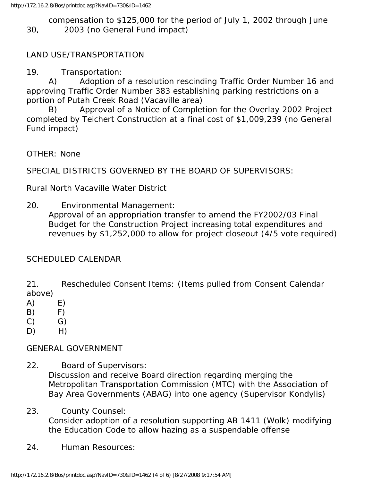compensation to \$125,000 for the period of July 1, 2002 through June 30, 2003 (no General Fund impact)

## LAND USE/TRANSPORTATION

19. Transportation:

 A) Adoption of a resolution rescinding Traffic Order Number 16 and approving Traffic Order Number 383 establishing parking restrictions on a portion of Putah Creek Road (Vacaville area)

 B) Approval of a Notice of Completion for the Overlay 2002 Project completed by Teichert Construction at a final cost of \$1,009,239 (no General Fund impact)

OTHER: None

SPECIAL DISTRICTS GOVERNED BY THE BOARD OF SUPERVISORS:

Rural North Vacaville Water District

20. Environmental Management:

 Approval of an appropriation transfer to amend the FY2002/03 Final Budget for the Construction Project increasing total expenditures and revenues by \$1,252,000 to allow for project closeout (4/5 vote required)

# SCHEDULED CALENDAR

21. Rescheduled Consent Items: (Items pulled from Consent Calendar above)

- $(A)$  E)
- B) F)
- $(C)$   $G)$
- $D)$  H)

#### GENERAL GOVERNMENT

- 22. Board of Supervisors: Discussion and receive Board direction regarding merging the Metropolitan Transportation Commission (MTC) with the Association of Bay Area Governments (ABAG) into one agency (Supervisor Kondylis)
- 23. County Counsel: Consider adoption of a resolution supporting AB 1411 (Wolk) modifying the Education Code to allow hazing as a suspendable offense
- 24. Human Resources: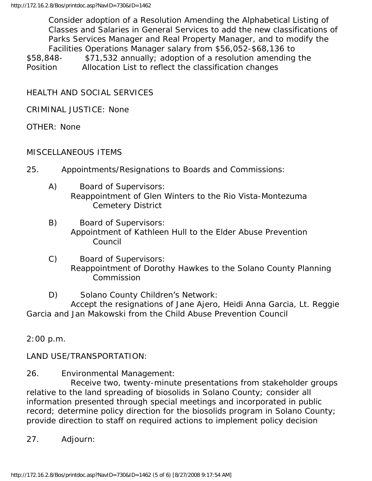Consider adoption of a Resolution Amending the Alphabetical Listing of Classes and Salaries in General Services to add the new classifications of Parks Services Manager and Real Property Manager, and to modify the Facilities Operations Manager salary from \$56,052-\$68,136 to \$58,848- \$71,532 annually; adoption of a resolution amending the Position Allocation List to reflect the classification changes

HEALTH AND SOCIAL SERVICES

CRIMINAL JUSTICE: None

OTHER: None

## MISCELLANEOUS ITEMS

- 25. Appointments/Resignations to Boards and Commissions:
	- A) Board of Supervisors: Reappointment of Glen Winters to the Rio Vista-Montezuma Cemetery District
	- B) Board of Supervisors: Appointment of Kathleen Hull to the Elder Abuse Prevention Council
	- C) Board of Supervisors: Reappointment of Dorothy Hawkes to the Solano County Planning Commission
	- D) Solano County Children's Network:

 Accept the resignations of Jane Ajero, Heidi Anna Garcia, Lt. Reggie Garcia and Jan Makowski from the Child Abuse Prevention Council

2:00 p.m.

LAND USE/TRANSPORTATION:

26. Environmental Management:

 Receive two, twenty-minute presentations from stakeholder groups relative to the land spreading of biosolids in Solano County; consider all information presented through special meetings and incorporated in public record; determine policy direction for the biosolids program in Solano County; provide direction to staff on required actions to implement policy decision

27. Adjourn: